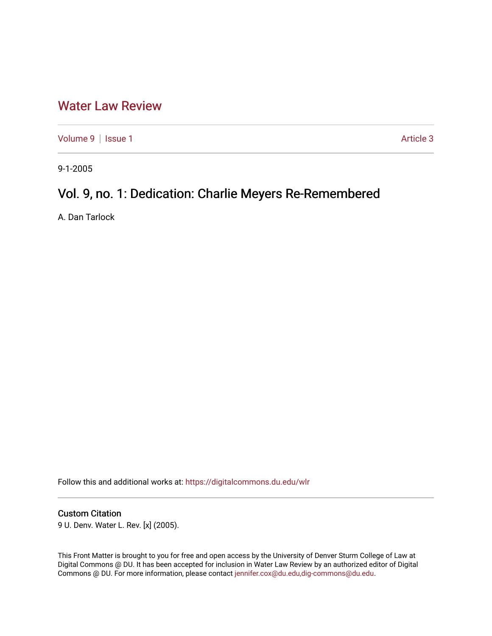## [Water Law Review](https://digitalcommons.du.edu/wlr)

[Volume 9](https://digitalcommons.du.edu/wlr/vol9) | [Issue 1](https://digitalcommons.du.edu/wlr/vol9/iss1) Article 3

9-1-2005

# Vol. 9, no. 1: Dedication: Charlie Meyers Re-Remembered

A. Dan Tarlock

Follow this and additional works at: [https://digitalcommons.du.edu/wlr](https://digitalcommons.du.edu/wlr?utm_source=digitalcommons.du.edu%2Fwlr%2Fvol9%2Fiss1%2F3&utm_medium=PDF&utm_campaign=PDFCoverPages) 

#### Custom Citation

9 U. Denv. Water L. Rev. [x] (2005).

This Front Matter is brought to you for free and open access by the University of Denver Sturm College of Law at Digital Commons @ DU. It has been accepted for inclusion in Water Law Review by an authorized editor of Digital Commons @ DU. For more information, please contact [jennifer.cox@du.edu,dig-commons@du.edu.](mailto:jennifer.cox@du.edu,dig-commons@du.edu)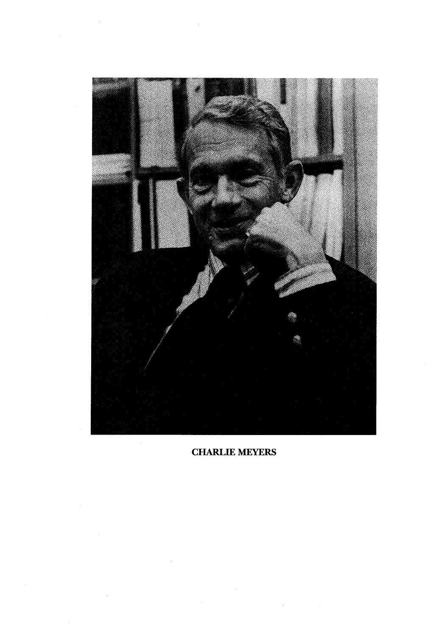

CHARLIE MEYERS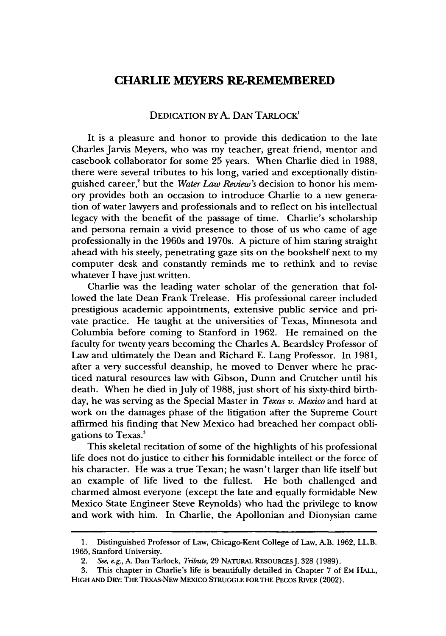### **CHARLIE MEYERS RE-REMEMBERED**

#### DEDICATION BY A. DAN TARLOCK<sup>1</sup>

It is a pleasure and honor to provide this dedication to the late Charles Jarvis Meyers, who was my teacher, great friend, mentor and casebook collaborator for some 25 years. When Charlie died in 1988, there were several tributes to his long, varied and exceptionally distinguished career,<sup>2</sup> but the *Water Law Review's* decision to honor his memory provides both an occasion to introduce Charlie to a new generation of water lawyers and professionals and to reflect on his intellectual legacy with the benefit of the passage of time. Charlie's scholarship and persona remain a vivid presence to those of us who came of age professionally in the 1960s and 1970s. A picture of him staring straight ahead with his steely, penetrating gaze sits on the bookshelf next to my computer desk and constantly reminds me to rethink and to revise whatever I have just written.

Charlie was the leading water scholar of the generation that followed the late Dean Frank Trelease. His professional career included prestigious academic appointments, extensive public service and private practice. He taught at the universities of Texas, Minnesota and Columbia before coming to Stanford in 1962. He remained on the faculty for twenty years becoming the Charles A. Beardsley Professor of Law and ultimately the Dean and Richard E. Lang Professor. In 1981, after a very successful deanship, he moved to Denver where he practiced natural resources law with Gibson, Dunn and Crutcher until his death. When he died in July of 1988, just short of his sixty-third birthday, he was serving as the Special Master in *Texas v. Mexico* and hard at work on the damages phase of the litigation after the Supreme Court affirmed his finding that New Mexico had breached her compact obligations to Texas.'

This skeletal recitation of some of the highlights of his professional life does not do justice to either his formidable intellect or the force of his character. He was a true Texan; he wasn't larger than life itself but an example of life lived to the fullest. He both challenged and charmed almost everyone (except the late and equally formidable New Mexico State Engineer Steve Reynolds) who had the privilege to know and work with him. In Charlie, the Apollonian and Dionysian came

<sup>1.</sup> Distinguished Professor of Law, Chicago-Kent College of Law, A.B. 1962, LL.B. 1965, Stanford University.

*<sup>2.</sup> See, e.g.,* A. Dan Tarlock, *Tribute,* 29 NATURAL REsoURcESJ. 328 (1989).

<sup>3.</sup> This chapter in Charlie's life is beautifully detailed in Chapter 7 of EM HALL, **HIGH AND** DRY: THE TEXAS-NEw MEXICO **STRUGGLE** FOR THE PECOS RIVER (2002).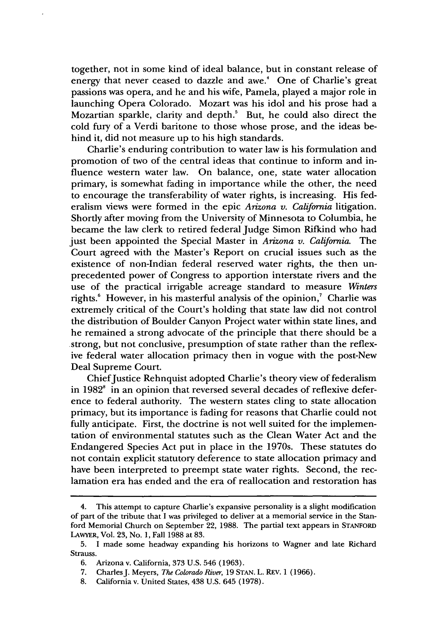together, not in some kind of ideal balance, but in constant release of energy that never ceased to dazzle and awe.<sup>4</sup> One of Charlie's great passions was opera, and he and his wife, Pamela, played a major role in launching Opera Colorado. Mozart was his idol and his prose had a Mozartian sparkle, clarity and depth.<sup>5</sup> But, he could also direct the cold fury of a Verdi baritone to those whose prose, and the ideas behind it, did not measure up to his high standards.

Charlie's enduring contribution to water law is his formulation and promotion of two of the central ideas that continue to inform and influence western water law. On balance, one, state water allocation primary, is somewhat fading in importance while the other, the need to encourage the transferability of water rights, is increasing. His federalism views were formed in the epic *Arizona v. California* litigation. Shortly after moving from the University of Minnesota to Columbia, he became the law clerk to retired federal Judge Simon Rifkind who had just been appointed the Special Master in *Arizona v. California.* The Court agreed with the Master's Report on crucial issues such as the existence of non-Indian federal reserved water fights, the then unprecedented power of Congress to apportion interstate rivers and the use of the practical irrigable acreage standard to measure *Winters* rights.<sup>6</sup> However, in his masterful analysis of the opinion,<sup>7</sup> Charlie was extremely critical of the Court's holding that state law did not control the distribution of Boulder Canyon Project water within state lines, and he remained a strong advocate of the principle that there should be a strong, but not conclusive, presumption of state rather than the reflexive federal water allocation primacy then in vogue with the post-New Deal Supreme Court.

Chief Justice Rehnquist adopted Charlie's theory view of federalism in 1982' in an opinion that reversed several decades of reflexive deference to federal authority. The western states cling to state allocation primacy, but its importance is fading for reasons that Charlie could not fully anticipate. First, the doctrine is not well suited for the implementation of environmental statutes such as the Clean Water Act and the Endangered Species Act put in place in the 1970s. These statutes do not contain explicit statutory deference to state allocation primacy and have been interpreted to preempt state water rights. Second, the reclamation era has ended and the era of reallocation and restoration has

<sup>4.</sup> This attempt to capture Charlie's expansive personality is a slight modification of part of the tribute that I was privileged to deliver at a memorial service in the Stanford Memorial Church on September 22, 1988. The partial text appears in STANFORD LAWYER, Vol. 23, No. 1, Fall 1988 at 83.

<sup>5.</sup> **I** made some headway expanding his horizons to Wagner and late Richard Strauss.

<sup>6.</sup> Arizona v. California, **373** U.S. 546 (1963).

<sup>7.</sup> Charles J. Meyers, *The Colorado River*, 19 STAN. L. REV. 1 (1966).

<sup>8.</sup> California v. United States, 438 U.S. 645 (1978).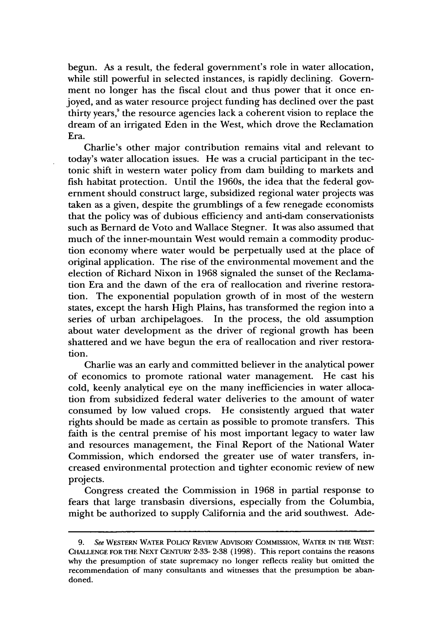begun. As a result, the federal government's role in water allocation, while still powerful in selected instances, is rapidly declining. Government no longer has the fiscal clout and thus power that it once enjoyed, and as water resource project funding has declined over the past thirty years, $\alpha$  the resource agencies lack a coherent vision to replace the dream of an irrigated Eden in the West, which drove the Reclamation Era.

Charlie's other major contribution remains vital and relevant to today's water allocation issues. He was a crucial participant in the tectonic shift in western water policy from dam building to markets and fish habitat protection. Until the 1960s, the idea that the federal government should construct large, subsidized regional water projects was taken as a given, despite the grumblings of a few renegade economists that the policy was of dubious efficiency and anti-dam conservationists such as Bernard de Voto and Wallace Stegner. It was also assumed that much of the inner-mountain West would remain a commodity production economy where water would be perpetually used at the place of original application. The rise of the environmental movement and the election of Richard Nixon in 1968 signaled the sunset of the Reclamation Era and the dawn of the era of reallocation and riverine restoration. The exponential population growth of in most of the western states, except the harsh High Plains, has transformed the region into a series of urban archipelagoes. In the process, the old assumption about water development as the driver of regional growth has been shattered and we have begun the era of reallocation and river restoration.

Charlie was an early and committed believer in the analytical power of economics to promote rational water management. He cast his cold, keenly analytical eye on the many inefficiencies in water allocation from subsidized federal water deliveries to the amount of water consumed by low valued crops. He consistently argued that water rights should be made as certain as possible to promote transfers. This faith is the central premise of his most important legacy to water law and resources management, the Final Report of the National Water Commission, which endorsed the greater use of water transfers, increased environmental protection and tighter economic review of new projects.

Congress created the Commission in 1968 in partial response to fears that large transbasin diversions, especially from the Columbia, might be authorized to supply California and the arid southwest. Ade-

<sup>9.</sup> See WESTERN WATER POLIcY REvIEw ADVISORY COMMISSION, WATER IN THE WEST: **CHALLENGE FOR** THE NEXT CENTURY **2-33-** 2-38 (1998). This report contains the reasons why the presumption of state supremacy no longer reflects reality but omitted the recommendation of many consultants and witnesses that the presumption be abandoned.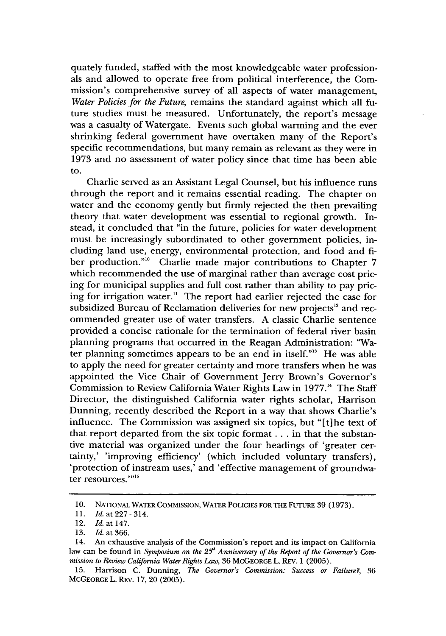quately funded, staffed with the most knowledgeable water professionals and allowed to operate free from political interference, the Commission's comprehensive survey of all aspects of water management, *Water Policies for the Future,* remains the standard against which all future studies must be measured. Unfortunately, the report's message was a casualty of Watergate. Events such global warming and the ever shrinking federal government have overtaken many of the Report's specific recommendations, but many remain as relevant as they were in 1973 and no assessment of water policy since that time has been able to.

Charlie served as an Assistant Legal Counsel, but his influence runs through the report and it remains essential reading. The chapter on water and the economy gently but firmly rejected the then prevailing theory that water development was essential to regional growth. Instead, it concluded that "in the future, policies for water development must be increasingly subordinated to other government policies, including land use, energy, environmental protection, and food and fiber production."<sup>10</sup> Charlie made major contributions to Chapter 7 which recommended the use of marginal rather than average cost pricing for municipal supplies and full cost rather than ability to pay pricing for irrigation water." The report had earlier rejected the case for subsidized Bureau of Reclamation deliveries for new projects<sup>12</sup> and recommended greater use of water transfers. A classic Charlie sentence provided a concise rationale for the termination of federal river basin planning programs that occurred in the Reagan Administration: "Water planning sometimes appears to be an end in itself."<sup>3</sup> He was able to apply the need for greater certainty and more transfers when he was appointed the Vice Chair of Government Jerry Brown's Governor's Commission to Review California Water Rights Law in 1977." The Staff Director, the distinguished California water rights scholar, Harrison Dunning, recently described the Report in a way that shows Charlie's influence. The Commission was assigned six topics, but "[t]he text of that report departed from the six topic format **...** in that the substantive material was organized under the four headings of 'greater certainty,' 'improving efficiency' (which included voluntary transfers), 'protection of instream uses,' and 'effective management of groundwater resources."<sup>15</sup>

<sup>10.</sup> NATIONAL WATER COMMISSION, WATER **POLICIES FOR** THE FUTURE 39 (1973).

<sup>11.</sup> *Id.* at 227-314.

<sup>12.</sup> *Id. at* 147.

<sup>13.</sup> *Id. at* 366.

<sup>14.</sup> An exhaustive analysis of the Commission's report and its impact on California law can be found in *Symposium on the 25<sup>th</sup> Anniversary of the Report of the Governor's Commission to Review California Water Rights Law,* 36 McGEORGE L. REv. 1 (2005).

<sup>15.</sup> Harrison C. Dunning, *The Governor's Commission: Success or Failure,* 36 McGEORGE L. REv. 17, 20 (2005).